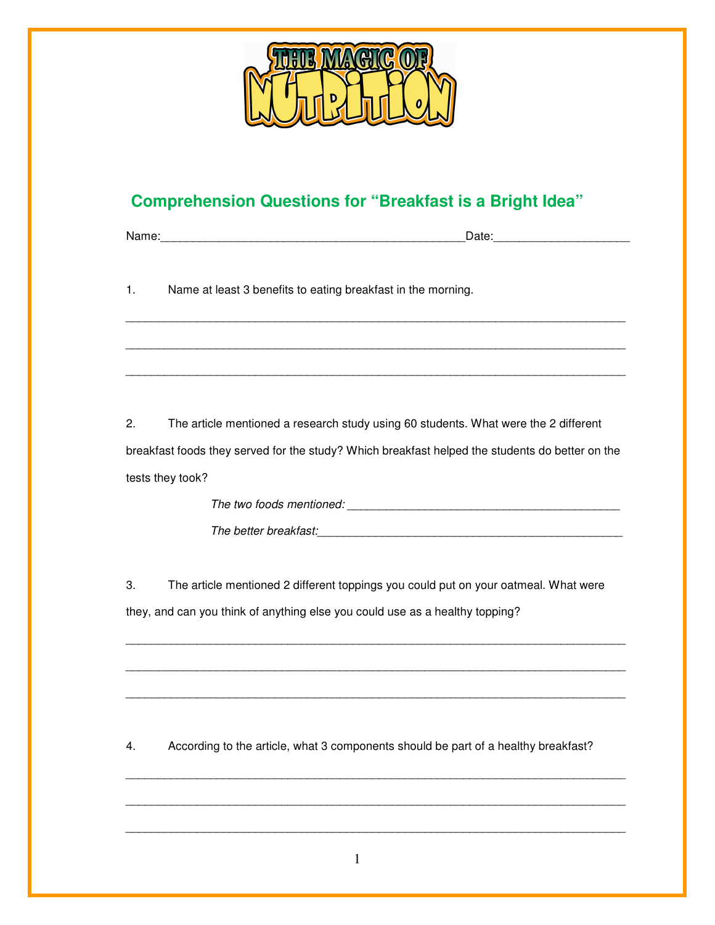

## **Comprehension Questions for "Breakfast is a Bright Idea"**

Name:\_\_\_\_\_\_\_\_\_\_\_\_\_\_\_\_\_\_\_\_\_\_\_\_\_\_\_\_\_\_\_\_\_\_\_\_\_\_\_\_\_\_\_\_\_\_\_Date:\_\_\_\_\_\_\_\_\_\_\_\_\_\_\_\_\_\_\_\_\_

1. Name at least 3 benefits to eating breakfast in the morning.

2. The article mentioned a research study using 60 students. What were the 2 different breakfast foods they served for the study? Which breakfast helped the students do better on the tests they took?

\_\_\_\_\_\_\_\_\_\_\_\_\_\_\_\_\_\_\_\_\_\_\_\_\_\_\_\_\_\_\_\_\_\_\_\_\_\_\_\_\_\_\_\_\_\_\_\_\_\_\_\_\_\_\_\_\_\_\_\_\_\_\_\_\_\_\_\_\_\_\_\_\_\_\_\_\_

\_\_\_\_\_\_\_\_\_\_\_\_\_\_\_\_\_\_\_\_\_\_\_\_\_\_\_\_\_\_\_\_\_\_\_\_\_\_\_\_\_\_\_\_\_\_\_\_\_\_\_\_\_\_\_\_\_\_\_\_\_\_\_\_\_\_\_\_\_\_\_\_\_\_\_\_\_

\_\_\_\_\_\_\_\_\_\_\_\_\_\_\_\_\_\_\_\_\_\_\_\_\_\_\_\_\_\_\_\_\_\_\_\_\_\_\_\_\_\_\_\_\_\_\_\_\_\_\_\_\_\_\_\_\_\_\_\_\_\_\_\_\_\_\_\_\_\_\_\_\_\_\_\_\_

The two foods mentioned:  $\blacksquare$ The better breakfast:\_\_\_\_\_\_\_\_\_\_\_\_\_\_\_\_\_\_\_\_\_\_\_\_\_\_\_\_\_\_\_\_\_\_\_\_\_\_\_\_\_\_\_\_\_\_\_

3. The article mentioned 2 different toppings you could put on your oatmeal. What were they, and can you think of anything else you could use as a healthy topping?

\_\_\_\_\_\_\_\_\_\_\_\_\_\_\_\_\_\_\_\_\_\_\_\_\_\_\_\_\_\_\_\_\_\_\_\_\_\_\_\_\_\_\_\_\_\_\_\_\_\_\_\_\_\_\_\_\_\_\_\_\_\_\_\_\_\_\_\_\_\_\_\_\_\_\_\_\_

\_\_\_\_\_\_\_\_\_\_\_\_\_\_\_\_\_\_\_\_\_\_\_\_\_\_\_\_\_\_\_\_\_\_\_\_\_\_\_\_\_\_\_\_\_\_\_\_\_\_\_\_\_\_\_\_\_\_\_\_\_\_\_\_\_\_\_\_\_\_\_\_\_\_\_\_\_

\_\_\_\_\_\_\_\_\_\_\_\_\_\_\_\_\_\_\_\_\_\_\_\_\_\_\_\_\_\_\_\_\_\_\_\_\_\_\_\_\_\_\_\_\_\_\_\_\_\_\_\_\_\_\_\_\_\_\_\_\_\_\_\_\_\_\_\_\_\_\_\_\_\_\_\_\_

\_\_\_\_\_\_\_\_\_\_\_\_\_\_\_\_\_\_\_\_\_\_\_\_\_\_\_\_\_\_\_\_\_\_\_\_\_\_\_\_\_\_\_\_\_\_\_\_\_\_\_\_\_\_\_\_\_\_\_\_\_\_\_\_\_\_\_\_\_\_\_\_\_\_\_\_\_

\_\_\_\_\_\_\_\_\_\_\_\_\_\_\_\_\_\_\_\_\_\_\_\_\_\_\_\_\_\_\_\_\_\_\_\_\_\_\_\_\_\_\_\_\_\_\_\_\_\_\_\_\_\_\_\_\_\_\_\_\_\_\_\_\_\_\_\_\_\_\_\_\_\_\_\_\_

\_\_\_\_\_\_\_\_\_\_\_\_\_\_\_\_\_\_\_\_\_\_\_\_\_\_\_\_\_\_\_\_\_\_\_\_\_\_\_\_\_\_\_\_\_\_\_\_\_\_\_\_\_\_\_\_\_\_\_\_\_\_\_\_\_\_\_\_\_\_\_\_\_\_\_\_\_

4. According to the article, what 3 components should be part of a healthy breakfast?